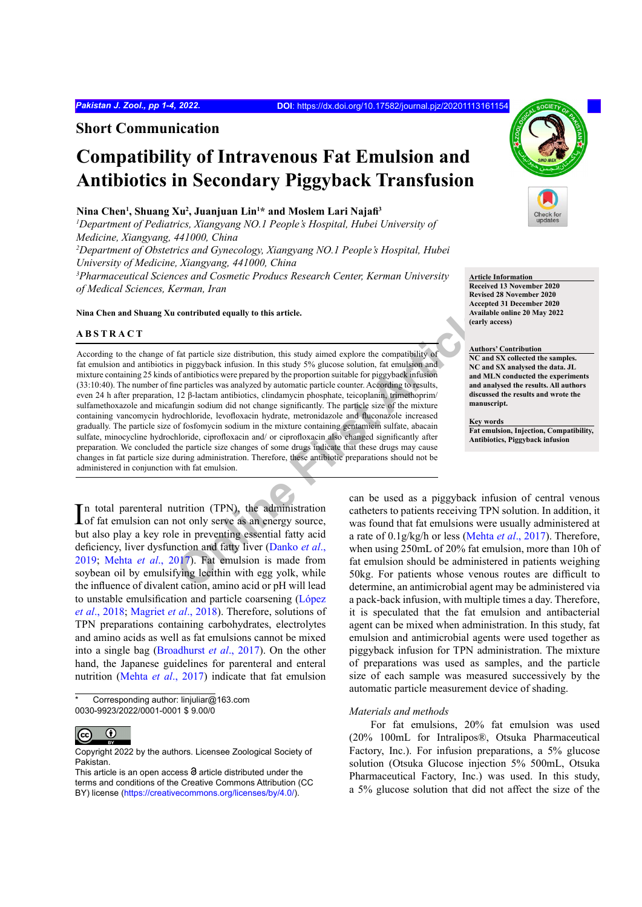### **Short Communication**

## **Compatibility of Intravenous Fat Emulsion and Antibiotics in Secondary Piggyback Transfusion**

#### **Nina Chen1 , Shuang Xu2 , Juanjuan Lin1 \* and Moslem Lari Najafi<sup>3</sup>**

<sup>1</sup>Department of Pediatrics, Xiangyang NO.1 People's Hospital, Hubei University of *Medicine, Xiangyang, 441000, China*

*2 Department of Obstetrics and Gynecology, Xiangyang NO.1 People's Hospital, Hubei University of Medicine, Xiangyang, 441000, China*

*3 Pharmaceutical Sciences and Cosmetic Producs Research Center, Kerman University of Medical Sciences, Kerman, Iran*

#### **Nina Chen and Shuang Xu contributed equally to this article.**

#### **ABSTRACT**

**Online First Article** According to the change of fat particle size distribution, this study aimed explore the compatibility of fat emulsion and antibiotics in piggyback infusion. In this study 5% glucose solution, fat emulsion and mixture containing 25 kinds of antibiotics were prepared by the proportion suitable for piggyback infusion (33:10:40). The number of fine particles was analyzed by automatic particle counter. According to results, even 24 h after preparation, 12 β-lactam antibiotics, clindamycin phosphate, teicoplanin, trimethoprim/ sulfamethoxazole and micafungin sodium did not change significantly. The particle size of the mixture containing vancomycin hydrochloride, levofloxacin hydrate, metronidazole and fluconazole increased gradually. The particle size of fosfomycin sodium in the mixture containing gentamicin sulfate, abacain sulfate, minocycline hydrochloride, ciprofloxacin and/ or ciprofloxacin also changed significantly after preparation. We concluded the particle size changes of some drugs indicate that these drugs may cause changes in fat particle size during administration. Therefore, these antibiotic preparations should not be administered in conjunction with fat emulsion.

In total parenteral nutrition (TPN), the administration<br>of fat emulsion can not only serve as an energy source, of fat emulsion can not only serve as an energy source, but also play a key role in preventing essential fatty acid deficiency, liver dysfunction and fatty liver (Danko *et al*., 2019; Mehta *et al*., 2017). Fat emulsion is made from soybean oil by emulsifying lecithin with egg yolk, while the influence of divalent cation, amino acid or pH will lead to unstable emulsification and particle coarsening (López *et al*., 2018; Magriet *et al*., 2018). Therefore, solutions of TPN preparations containing carbohydrates, electrolytes and amino acids as well as fat emulsions cannot be mixed into a single bag (Broadhurst *et al*., 2017). On the other hand, the Japanese guidelines for parenteral and enteral nutrition (Mehta *et al*., 2017) indicate that fat emulsion

Corresponding author: linjuliar@163.com 0030-9923/2022/0001-0001 \$ 9.00/0



Copyright 2022 by the authors. Licensee Zoological Society of Pakistan.



#### **Article Information Received 13 November 2020**

**Revised 28 November 2020 Accepted 31 December 2020 Available online 20 May 2022 (early access)**

#### **Authors' Contribution**

**NC and SX collected the samples. NC and SX analysed the data. JL and MLN conducted the experiments and analysed the results. All authors discussed the results and wrote the manuscript.**

**Key words Fat emulsion, Injection, Compatibility, Antibiotics, Piggyback infusion**

can be used as a piggyback infusion of central venous catheters to patients receiving TPN solution. In addition, it was found that fat emulsions were usually administered at a rate of 0.1g/kg/h or less (Mehta *et al*., 2017). Therefore, when using 250mL of 20% fat emulsion, more than 10h of fat emulsion should be administered in patients weighing 50kg. For patients whose venous routes are difficult to determine, an antimicrobial agent may be administered via a pack-back infusion, with multiple times a day. Therefore, it is speculated that the fat emulsion and antibacterial agent can be mixed when administration. In this study, fat emulsion and antimicrobial agents were used together as piggyback infusion for TPN administration. The mixture of preparations was used as samples, and the particle size of each sample was measured successively by the automatic particle measurement device of shading.

#### *Materials and methods*

For fat emulsions, 20% fat emulsion was used (20% 100mL for Intralipos®, Otsuka Pharmaceutical Factory, Inc.). For infusion preparations, a 5% glucose solution (Otsuka Glucose injection 5% 500mL, Otsuka Pharmaceutical Factory, Inc.) was used. In this study, a 5% glucose solution that did not affect the size of the

This article is an open access  $\Theta$  article distributed under the terms and conditions of the Creative Commons Attribution (CC BY) license (https://creativecommons.org/licenses/by/4.0/).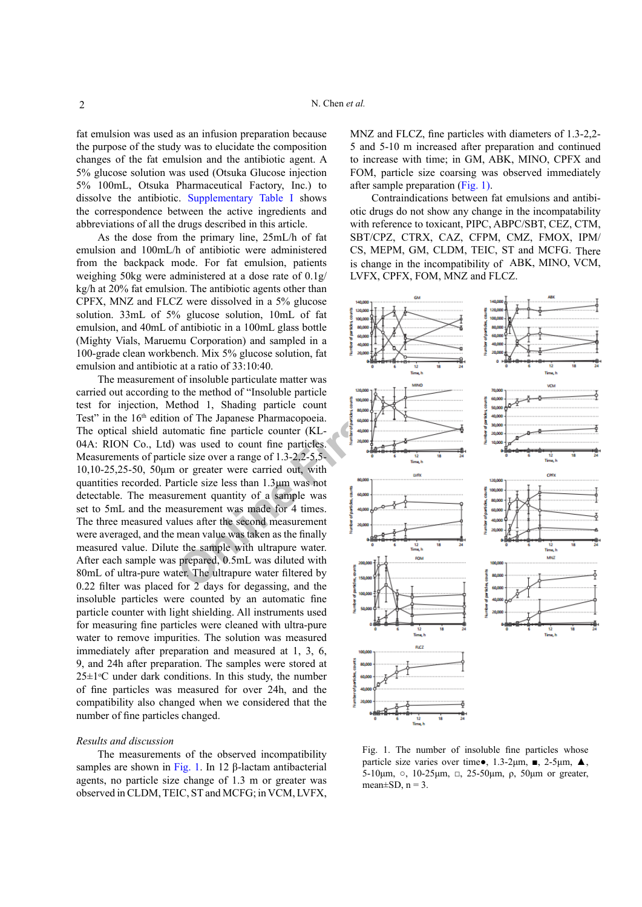fat emulsion was used as an infusion preparation because the purpose of the study was to elucidate the composition changes of the fat emulsion and the antibiotic agent. A 5% glucose solution was used (Otsuka Glucose injection 5% 100mL, Otsuka Pharmaceutical Factory, Inc.) to dissolve the antibiotic. Supplementary Table I shows the correspondence between the active ingredients and abbreviations of all the drugs described in this article.

As the dose from the primary line, 25mL/h of fat emulsion and 100mL/h of antibiotic were administered from the backpack mode. For fat emulsion, patients weighing 50kg were administered at a dose rate of 0.1g/ kg/h at 20% fat emulsion. The antibiotic agents other than CPFX, MNZ and FLCZ were dissolved in a 5% glucose solution. 33mL of 5% glucose solution, 10mL of fat emulsion, and 40mL of antibiotic in a 100mL glass bottle (Mighty Vials, Maruemu Corporation) and sampled in a 100-grade clean workbench. Mix 5% glucose solution, fat emulsion and antibiotic at a ratio of 33:10:40.

The measurement of insoluble particulate matter was carried out according to the method of "Insoluble particle test for injection, Method 1, Shading particle count Test" in the 16<sup>th</sup> edition of The Japanese Pharmacopoeia. The optical shield automatic fine particle counter (KL-04A: RION Co., Ltd) was used to count fine particles. Measurements of particle size over a range of 1.3-2,2-5,5-10,10-25,25-50, 50μm or greater were carried out, with quantities recorded. Particle size less than 1.3μm was not detectable. The measurement quantity of a sample was set to 5mL and the measurement was made for 4 times. The three measured values after the second measurement were averaged, and the mean value was taken as the finally measured value. Dilute the sample with ultrapure water. After each sample was prepared, 0.5mL was diluted with 80mL of ultra-pure water. The ultrapure water filtered by 0.22 filter was placed for 2 days for degassing, and the insoluble particles were counted by an automatic fine particle counter with light shielding. All instruments used for measuring fine particles were cleaned with ultra-pure water to remove impurities. The solution was measured immediately after preparation and measured at 1, 3, 6, 9, and 24h after preparation. The samples were stored at  $25 \pm 1$ <sup>o</sup>C under dark conditions. In this study, the number of fine particles was measured for over 24h, and the compatibility also changed when we considered that the number of fine particles changed.

#### *Results and discussion*

The measurements of the observed incompatibility samples are shown in Fig. 1. In 12 β-lactam antibacterial agents, no particle size change of 1.3 m or greater was observed in CLDM, TEIC, ST and MCFG; in VCM, LVFX, MNZ and FLCZ, fine particles with diameters of 1.3-2,2- 5 and 5-10 m increased after preparation and continued to increase with time; in GM, ABK, MINO, CPFX and FOM, particle size coarsing was observed immediately after sample preparation (Fig. 1).

Contraindications between fat emulsions and antibiotic drugs do not show any change in the incompatability with reference to toxicant, PIPC, ABPC/SBT, CEZ, CTM, SBT/CPZ, CTRX, CAZ, CFPM, CMZ, FMOX, IPM/ CS, MEPM, GM, CLDM, TEIC, ST and MCFG. There is change in the incompatibility of ABK, MINO, VCM, LVFX, CPFX, FOM, MNZ and FLCZ.



Fig. 1. The number of insoluble fine particles whose particle size varies over time $\bullet$ , 1.3-2μm,  $\blacksquare$ , 2-5μm,  $\blacktriangle$ , 5-10μm,  $\circ$ , 10-25μm,  $\Box$ , 25-50μm,  $\rho$ , 50μm or greater, mean $\pm$ SD, n = 3.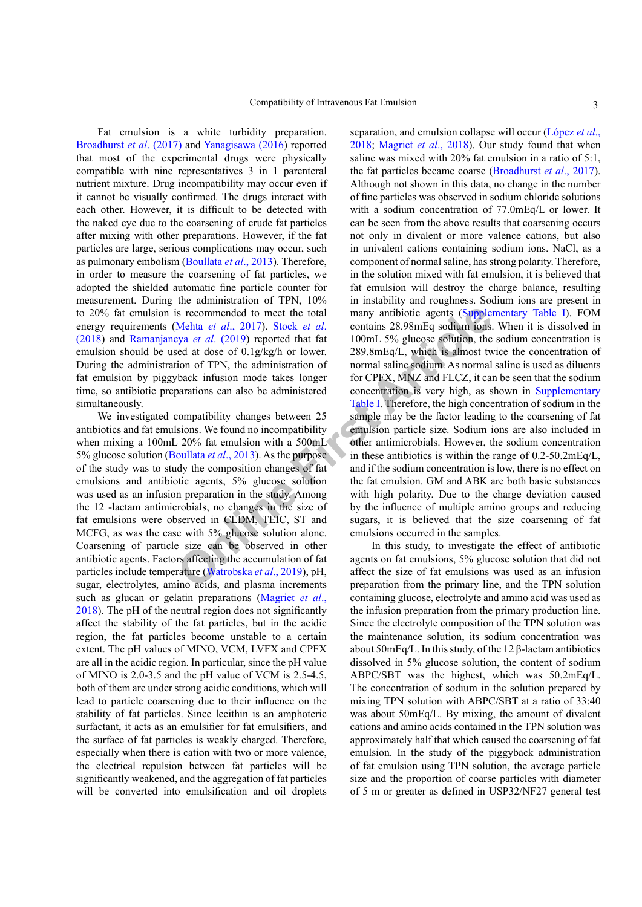Fat emulsion is a white turbidity preparation. Broadhurst *et al*. (2017) and Yanagisawa (2016) reported that most of the experimental drugs were physically compatible with nine representatives 3 in 1 parenteral nutrient mixture. Drug incompatibility may occur even if it cannot be visually confirmed. The drugs interact with each other. However, it is difficult to be detected with the naked eye due to the coarsening of crude fat particles after mixing with other preparations. However, if the fat particles are large, serious complications may occur, such as pulmonary embolism (Boullata *et al*., 2013). Therefore, in order to measure the coarsening of fat particles, we adopted the shielded automatic fine particle counter for measurement. During the administration of TPN, 10% to 20% fat emulsion is recommended to meet the total energy requirements (Mehta *et al*., 2017). Stock *et al*. (2018) and Ramanjaneya *et al*. (2019) reported that fat emulsion should be used at dose of 0.1g/kg/h or lower. During the administration of TPN, the administration of fat emulsion by piggyback infusion mode takes longer time, so antibiotic preparations can also be administered simultaneously.

We investigated compatibility changes between 25 antibiotics and fat emulsions. We found no incompatibility when mixing a 100mL 20% fat emulsion with a 500mL 5% glucose solution (Boullata *et al*., 2013). As the purpose of the study was to study the composition changes of fat emulsions and antibiotic agents, 5% glucose solution was used as an infusion preparation in the study. Among the 12 -lactam antimicrobials, no changes in the size of fat emulsions were observed in CLDM, TEIC, ST and MCFG, as was the case with 5% glucose solution alone. Coarsening of particle size can be observed in other antibiotic agents. Factors affecting the accumulation of fat particles include temperature (Watrobska *et al*., 2019), pH, sugar, electrolytes, amino acids, and plasma increments such as glucan or gelatin preparations (Magriet *et al*., 2018). The pH of the neutral region does not significantly affect the stability of the fat particles, but in the acidic region, the fat particles become unstable to a certain extent. The pH values of MINO, VCM, LVFX and CPFX are all in the acidic region. In particular, since the pH value of MINO is 2.0-3.5 and the pH value of VCM is 2.5-4.5, both of them are under strong acidic conditions, which will lead to particle coarsening due to their influence on the stability of fat particles. Since lecithin is an amphoteric surfactant, it acts as an emulsifier for fat emulsifiers, and the surface of fat particles is weakly charged. Therefore, especially when there is cation with two or more valence, the electrical repulsion between fat particles will be significantly weakened, and the aggregation of fat particles will be converted into emulsification and oil droplets

is recommended to meet the total<br>
Mehta et al., 2017). Stock et al.<br>
contains 28.98mEq sodium ions.<br>
Stya et al. (2019) reported that fat<br>
100mL 5% glucose solution, the<br>
seed at dose of 0.1g/kg/h or lower.<br>
289.8mEq Jour separation, and emulsion collapse will occur (López *et al*., 2018; Magriet *et al*., 2018). Our study found that when saline was mixed with 20% fat emulsion in a ratio of 5:1, the fat particles became coarse (Broadhurst *et al*., 2017). Although not shown in this data, no change in the number of fine particles was observed in sodium chloride solutions with a sodium concentration of 77.0mEq/L or lower. It can be seen from the above results that coarsening occurs not only in divalent or more valence cations, but also in univalent cations containing sodium ions. NaCl, as a component of normal saline, has strong polarity. Therefore, in the solution mixed with fat emulsion, it is believed that fat emulsion will destroy the charge balance, resulting in instability and roughness. Sodium ions are present in many antibiotic agents (Supplementary Table I). FOM contains 28.98mEq sodium ions. When it is dissolved in 100mL 5% glucose solution, the sodium concentration is 289.8mEq/L, which is almost twice the concentration of normal saline sodium. As normal saline is used as diluents for CPFX, MNZ and FLCZ, it can be seen that the sodium concentration is very high, as shown in Supplementary Table I. Therefore, the high concentration of sodium in the sample may be the factor leading to the coarsening of fat emulsion particle size. Sodium ions are also included in other antimicrobials. However, the sodium concentration in these antibiotics is within the range of 0.2-50.2mEq/L, and if the sodium concentration is low, there is no effect on the fat emulsion. GM and ABK are both basic substances with high polarity. Due to the charge deviation caused by the influence of multiple amino groups and reducing sugars, it is believed that the size coarsening of fat emulsions occurred in the samples.

In this study, to investigate the effect of antibiotic agents on fat emulsions, 5% glucose solution that did not affect the size of fat emulsions was used as an infusion preparation from the primary line, and the TPN solution containing glucose, electrolyte and amino acid was used as the infusion preparation from the primary production line. Since the electrolyte composition of the TPN solution was the maintenance solution, its sodium concentration was about 50mEq/L. In this study, of the 12 β-lactam antibiotics dissolved in 5% glucose solution, the content of sodium ABPC/SBT was the highest, which was 50.2mEq/L. The concentration of sodium in the solution prepared by mixing TPN solution with ABPC/SBT at a ratio of 33:40 was about 50mEq/L. By mixing, the amount of divalent cations and amino acids contained in the TPN solution was approximately half that which caused the coarsening of fat emulsion. In the study of the piggyback administration of fat emulsion using TPN solution, the average particle size and the proportion of coarse particles with diameter of 5 m or greater as defined in USP32/NF27 general test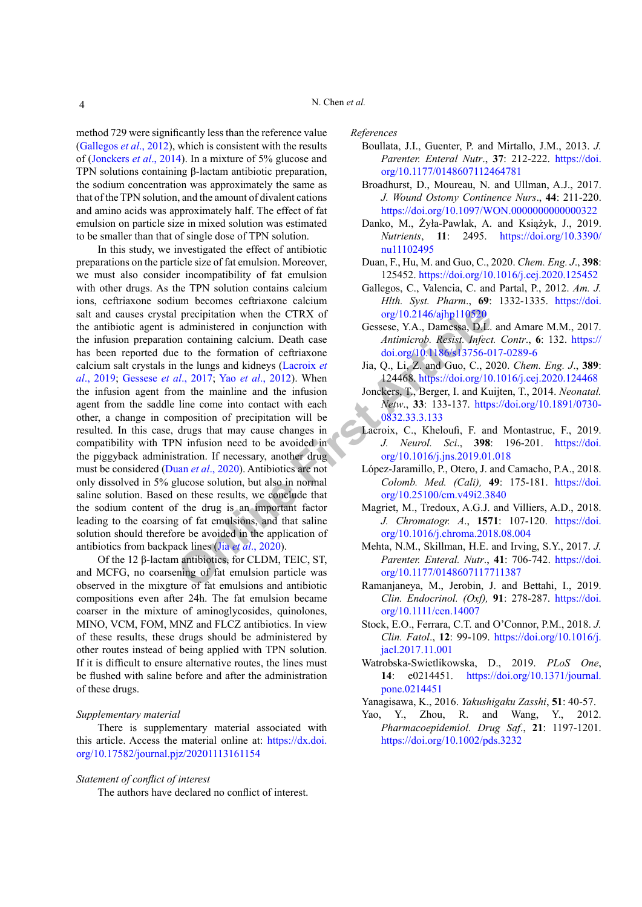method 729 were significantly less than the reference value (Gallegos *et al*., 2012), which is consistent with the results of (Jonckers *et al*., 2014). In a mixture of 5% glucose and TPN solutions containing β-lactam antibiotic preparation, the sodium concentration was approximately the same as that of the TPN solution, and the amount of divalent cations and amino acids was approximately half. The effect of fat emulsion on particle size in mixed solution was estimated to be smaller than that of single dose of TPN solution.

**Examp[le](https://doi.org/10.2146/ajhp110520) 1** and the CTRX of the CTRX of org/10.2146/ajhp110520<br>
administered in conjunction with Gessese, Y.A., Damessa, D.L.<br>
and containing calcium. Death case Antimicrob. Resist. Infect<br>
to the fungs and kidneys (Lacro In this study, we investigated the effect of antibiotic preparations on the particle size of fat emulsion. Moreover, we must also consider incompatibility of fat emulsion with other drugs. As the TPN solution contains calcium ions, ceftriaxone sodium becomes ceftriaxone calcium salt and causes crystal precipitation when the CTRX of the antibiotic agent is administered in conjunction with the infusion preparation containing calcium. Death case has been reported due to the formation of ceftriaxone calcium salt crystals in the lungs and kidneys (Lacroix *et al*., 2019; Gessese *et al*., 2017; Yao *et al*., 2012). When the infusion agent from the mainline and the infusion agent from the saddle line come into contact with each other, a change in composition of precipitation will be resulted. In this case, drugs that may cause changes in compatibility with TPN infusion need to be avoided in the piggyback administration. If necessary, another drug must be considered (Duan *et al*., 2020). Antibiotics are not only dissolved in 5% glucose solution, but also in normal saline solution. Based on these results, we conclude that the sodium content of the drug is an important factor leading to the coarsing of fat emulsions, and that saline solution should therefore be avoided in the application of antibiotics from backpack lines (Jia *et al*., 2020).

Of the 12 β-lactam antibiotics, for CLDM, TEIC, ST, and MCFG, no coarsening of fat emulsion particle was observed in the mixgture of fat emulsions and antibiotic compositions even after 24h. The fat emulsion became coarser in the mixture of aminoglycosides, quinolones, MINO, VCM, FOM, MNZ and FLCZ antibiotics. In view of these results, these drugs should be administered by other routes instead of being applied with TPN solution. If it is difficult to ensure alternative routes, the lines must be flushed with saline before and after the administration of these drugs.

#### *Supplementary material*

There is supplementary material associated with this article. Access the material online at: [https://dx.doi.](https://dx.doi.org/10.17582/journal.pjz/20201113161154) [org/10.17582/journal.pjz/20201113161154](https://dx.doi.org/10.17582/journal.pjz/20201113161154)

### *Statement of conflict of interest*

The authors have declared no conflict of interest.

#### *References*

- Boullata, J.I., Guenter, P. and Mirtallo, J.M., 2013. *J. Parenter. Enteral Nutr*., **37**: 212-222. [https://doi.](https://doi.org/10.1177/0148607112464781) [org/10.1177/0148607112464781](https://doi.org/10.1177/0148607112464781)
- Broadhurst, D., Moureau, N. and Ullman, A.J., 2017. *J. Wound Ostomy Continence Nurs*., **44**: 211-220. <https://doi.org/10.1097/WON.0000000000000322>
- Danko, M., Żyła-Pawlak, A. and Książyk, J., 2019. *Nutrients*, **11**: 2495. [https://doi.org/10.3390/](https://doi.org/10.3390/nu11102495) [nu11102495](https://doi.org/10.3390/nu11102495)
- Duan, F., Hu, M. and Guo, C., 2020. *Chem. Eng. J*., **398**: 125452. <https://doi.org/10.1016/j.cej.2020.125452>
- Gallegos, C., Valencia, C. and Partal, P., 2012. *Am. J. Hlth. Syst. Pharm*., **69**: 1332-1335. [https://doi.](https://doi.org/10.2146/ajhp110520) org/10.2146/ajhp110520
- Gessese, Y.A., Damessa, D.L. and Amare M.M., 2017. *Antimicrob. Resist. Infect. Contr*., **6**: 132. [https://](https://doi.org/10.1186/s13756-017-0289-6) [doi.org/10.1186/s13756-017-0289-6](https://doi.org/10.1186/s13756-017-0289-6)
- Jia, Q., Li, Z. and Guo, C., 2020. *Chem. Eng. J*., **389**: 124468. <https://doi.org/10.1016/j.cej.2020.124468>
- Jonckers, T., Berger, I. and Kuijten, T., 2014. *Neonatal. Netw*., **33**: 133-137. [https://doi.org/10.1891/0730-](https://doi.org/10.1891/0730-0832.33.3.133) 0832.33.3.133
- Lacroix, C., Kheloufi, F. and Montastruc, F., 2019. *J. Neurol. Sci*., **398**: 196-201. [https://doi.](https://doi.org/10.1016/j.jns.2019.01.018) org/10.1016/j.jns.2019.01.018
- López-Jaramillo, P., Otero, J. and Camacho, P.A., 2018. *Colomb. Med. (Cali),* **49**: 175-181. [https://doi.](https://doi.org/10.25100/cm.v49i2.3840) org/10.25100/cm.v49i2.3840
- Magriet, M., Tredoux, A.G.J. and Villiers, A.D., 2018. *J. Chromatogr. A*., **1571**: 107-120. [https://doi.](https://doi.org/10.1016/j.chroma.2018.08.004) [org/10.1016/j.chroma.2018.08.004](https://doi.org/10.1016/j.chroma.2018.08.004)
- Mehta, N.M., Skillman, H.E. and Irving, S.Y., 2017. *J. Parenter. Enteral. Nutr*., **41**: 706-742. [https://doi.](https://doi.org/10.1177/0148607117711387) org/10.1177/0148607117711387
- Ramanjaneya, M., Jerobin, J. and Bettahi, I., 2019. *Clin. Endocrinol. (Oxf),* **91**: 278-287. [https://doi.](https://doi.org/10.1111/cen.14007) [org/10.1111/cen.14007](https://doi.org/10.1111/cen.14007)
- Stock, E.O., Ferrara, C.T. and O'Connor, P.M., 2018. *J. Clin. Fatol*., **12**: 99-109. [https://doi.org/10.1016/j.](https://doi.org/10.1016/j.jacl.2017.11.001) [jacl.2017.11.001](https://doi.org/10.1016/j.jacl.2017.11.001)
- Watrobska-Swietlikowska, D., 2019. *PLoS One*, **14**: e0214451. [https://doi.org/10.1371/journal.](https://doi.org/10.1371/journal.pone.0214451) [pone.0214451](https://doi.org/10.1371/journal.pone.0214451)
- Yanagisawa, K., 2016. *Yakushigaku Zasshi*, **51**: 40-57.
- Yao, Y., Zhou, R. and Wang, Y., 2012. *Pharmacoepidemiol. Drug Saf*., **21**: 1197-1201. <https://doi.org/10.1002/pds.3232>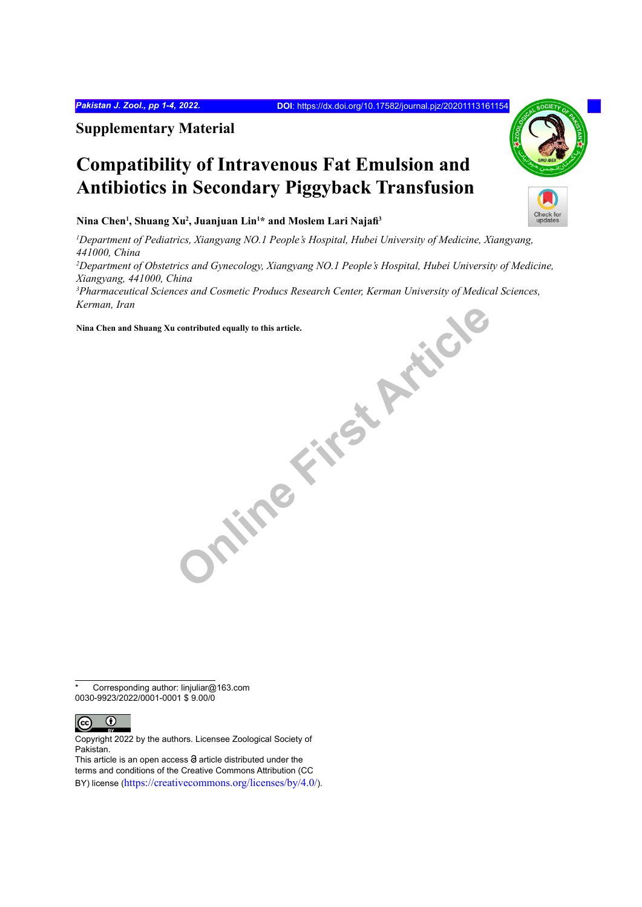**Supplementary Material**

# **Compatibility of Intravenous Fat Emulsion and Antibiotics in Secondary Piggyback Transfusion**

**Nina Chen1 , Shuang Xu2 , Juanjuan Lin1 \* and Moslem Lari Najafi<sup>3</sup>**

**ONLINE FIRST AFTER** *1 Department of Pediatrics, Xiangyang NO.1 People's Hospital, Hubei University of Medicine, Xiangyang, 441000, China 2 Department of Obstetrics and Gynecology, Xiangyang NO.1 People's Hospital, Hubei University of Medicine, Xiangyang, 441000, China 3 Pharmaceutical Sciences and Cosmetic Producs Research Center, Kerman University of Medical Sciences, Kerman, Iran*

**Nina Chen and Shuang Xu contributed equally to this article.** 

Corresponding author: linjuliar@163.com 0030-9923/2022/0001-0001 \$ 9.00/0



Copyright 2022 by the authors. Licensee Zoological Society of Pakistan.

This article is an open access  $\Theta$  article distributed under the terms and conditions of the Creative Commons Attribution (CC BY) license (https://creativecommons.org/licenses/by/4.0/).